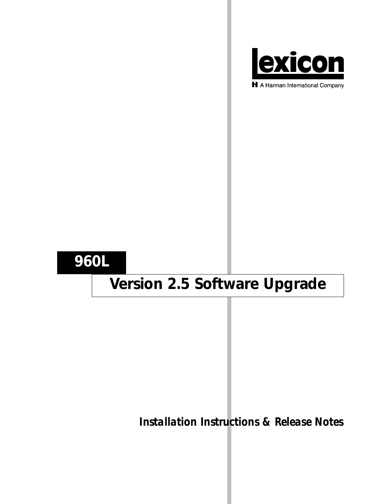

H A Harman International Company

## **960L**

# **Version 2.5 Software Upgrade**

*Installation Instructions & Release Notes*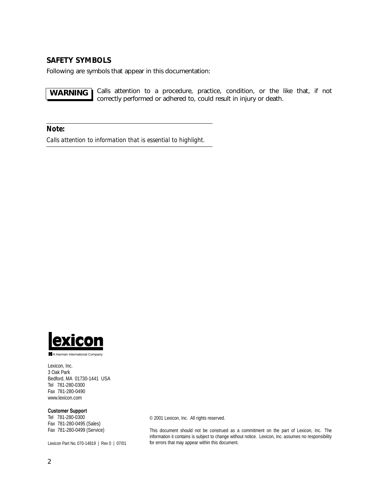## **SAFETY SYMBOLS**

Following are symbols that appear in this documentation:

Calls attention to a procedure, practice, condition, or the like that, if not correctly performed or adhered to, could result in injury or death. **WARNING**

*Note:*

*Calls attention to information that is essential to highlight.*



A Harman International Company

Lexicon, Inc. 3 Oak Park Bedford, MA 01730-1441 USA Tel 781-280-0300 Fax 781-280-0490 www.lexicon.com

#### **Customer Support**

Tel 781-280-0300 Fax 781-280-0495 (Sales) Fax 781-280-0499 (Service)

Lexicon Part No. 070-14819 | Rev 0 | 07/01

© 2001 Lexicon, Inc. All rights reserved.

This document should not be construed as a commitment on the part of Lexicon, Inc. The information it contains is subject to change without notice. Lexicon, Inc. assumes no responsibility for errors that may appear within this document.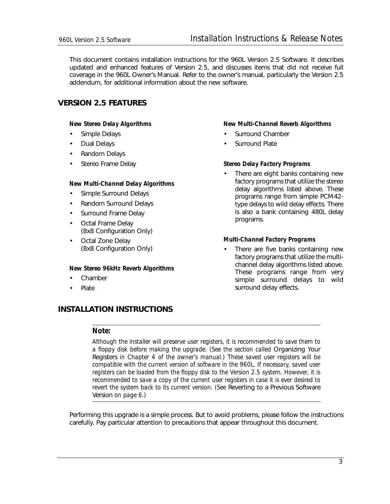This document contains installation instructions for the 960L Version 2.5 Software. It describes updated and enhanced features of Version 2.5, and discusses items that did not receive full coverage in the 960L Owner's Manual. Refer to the owner's manual, particularly the Version 2.5 addendum, for additional information about the new software.

## **VERSION 2.5 FEATURES**

## *New Stereo Delay Algorithms*

- Simple Delays
- Dual Delays
- Random Delays
- Stereo Frame Delay

## *New Multi-Channel Delay Algorithms*

- Simple Surround Delays
- Random Surround Delays
- Surround Frame Delay
- Octal Frame Delay (8x8 Configuration Only)
- Octal Zone Delay (8x8 Configuration Only)

## *New Stereo 96kHz Reverb Algorithms*

- Chamber
- Plate

## **INSTALLATION INSTRUCTIONS**

## *Note:*

*Although the installer will preserve user registers, it is recommended to save them to a floppy disk before making the upgrade. (See the section called* Organizing Your Registers *in Chapter 4 of the owner's manual.) These saved user registers will be compatible with the current version of software in the 960L. If necessary, saved user registers can be loaded from the floppy disk to the Version 2.5 system. However, it is recommended to save a copy of the current user registers in case it is ever desired to revert the system back to its current version. (See Reverting to a Previous Software* Version *on page 6.)*

Performing this upgrade is a simple process. But to avoid problems, please follow the instructions carefully. Pay particular attention to precautions that appear throughout this document.

#### *New Multi-Channel Reverb Algorithms*

- Surround Chamber
- Surround Plate

#### *Stereo Delay Factory Programs*

There are eight banks containing new factory programs that utilize the stereo delay algorithms listed above. These programs range from simple PCM42 type delays to wild delay effects. There is also a bank containing 480L delay programs.

#### *Multi-Channel Factory Programs*

There are five banks containing new factory programs that utilize the multichannel delay algorithms listed above. These programs range from very simple surround delays to wild surround delay effects.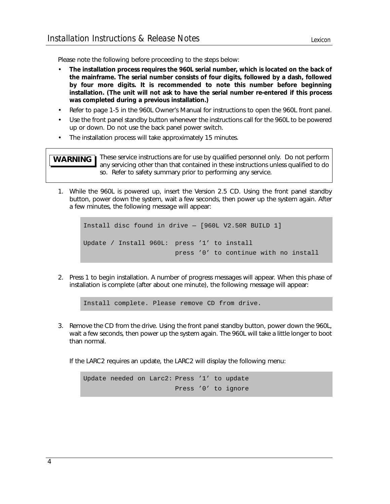Please note the following before proceeding to the steps below:

- **The installation process requires the 960L serial number, which is located on the back of the mainframe. The serial number consists of four digits, followed by a dash, followed by four more digits. It is recommended to note this number before beginning installation. (The unit will not ask to have the serial number re-entered if this process was completed during a previous installation.)**
- Refer to page 1-5 in the 960L Owner's Manual for instructions to open the 960L front panel.
- Use the front panel standby button whenever the instructions call for the 960L to be powered up or down. Do not use the back panel power switch.
- The installation process will take approximately 15 minutes.

These service instructions are for use by qualified personnel only. Do not perform any servicing other than that contained in these instructions unless qualified to do so. Refer to safety summary prior to performing any service. **WARNING**

1. While the 960L is powered up, insert the Version 2.5 CD. Using the front panel standby button, power down the system, wait a few seconds, then power up the system again. After a few minutes, the following message will appear:

```
Install disc found in drive — [960L V2.50R BUILD 1]
Update / Install 960L: press '1' to install
                       press '0' to continue with no install
```
2. Press 1 to begin installation. A number of progress messages will appear. When this phase of installation is complete (after about one minute), the following message will appear:

Install complete. Please remove CD from drive.

3. Remove the CD from the drive. Using the front panel standby button, power down the 960L, wait a few seconds, then power up the system again. The 960L will take a little longer to boot than normal.

If the LARC2 requires an update, the LARC2 will display the following menu:

Update needed on Larc2: Press '1' to update Press '0' to ignore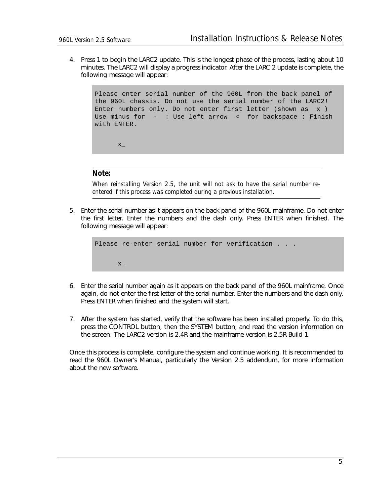4. Press 1 to begin the LARC2 update. This is the longest phase of the process, lasting about 10 minutes. The LARC2 will display a progress indicator. After the LARC 2 update is complete, the following message will appear:

Please enter serial number of the 960L from the back panel of the 960L chassis. Do not use the serial number of the LARC2! Enter numbers only. Do not enter first letter (shown as x ) Use minus for - : Use left arrow < for backspace : Finish with ENTER.

```
Note:
```
 $X_{-}$ 

*When reinstalling Version 2.5, the unit will not ask to have the serial number reentered if this process was completed during a previous installation.*

5. Enter the serial number as it appears on the back panel of the 960L mainframe. Do not enter the first letter. Enter the numbers and the dash only. Press ENTER when finished. The following message will appear:

```
Please re-enter serial number for verification . . .
      \mathbf{x}
```
- 6. Enter the serial number again as it appears on the back panel of the 960L mainframe. Once again, do not enter the first letter of the serial number. Enter the numbers and the dash only. Press ENTER when finished and the system will start.
- 7. After the system has started, verify that the software has been installed properly. To do this, press the CONTROL button, then the SYSTEM button, and read the version information on the screen. The LARC2 version is 2.4R and the mainframe version is 2.5R Build 1.

Once this process is complete, configure the system and continue working. It is recommended to read the 960L Owner's Manual, particularly the Version 2.5 addendum, for more information about the new software.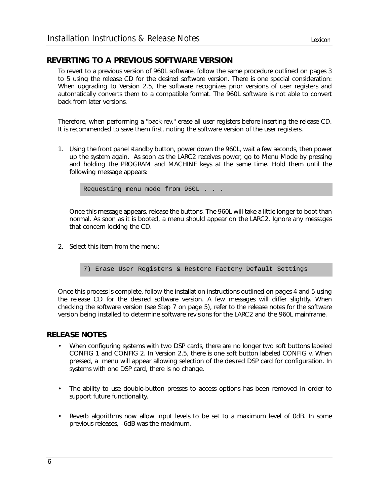## **REVERTING TO A PREVIOUS SOFTWARE VERSION**

To revert to a previous version of 960L software, follow the same procedure outlined on pages 3 to 5 using the release CD for the desired software version. There is one special consideration: When upgrading to Version 2.5, the software recognizes prior versions of user registers and automatically converts them to a compatible format. The 960L software is not able to convert back from later versions.

Therefore, when performing a "back-rev," erase all user registers before inserting the release CD. It is recommended to save them first, noting the software version of the user registers.

1. Using the front panel standby button, power down the 960L, wait a few seconds, then power up the system again. As soon as the LARC2 receives power, go to Menu Mode by pressing and holding the PROGRAM and MACHINE keys at the same time. Hold them until the following message appears:

Requesting menu mode from 960L . . .

Once this message appears, release the buttons. The 960L will take a little longer to boot than normal. As soon as it is booted, a menu should appear on the LARC2. Ignore any messages that concern locking the CD.

- 2. Select this item from the menu:
	- 7) Erase User Registers & Restore Factory Default Settings

Once this process is complete, follow the installation instructions outlined on pages 4 and 5 using the release CD for the desired software version. A few messages will differ slightly. When checking the software version (see Step 7 on page 5), refer to the release notes for the software version being installed to determine software revisions for the LARC2 and the 960L mainframe.

## **RELEASE NOTES**

- When configuring systems with two DSP cards, there are no longer two soft buttons labeled CONFIG 1 and CONFIG 2. In Version 2.5, there is one soft button labeled CONFIG v. When pressed, a menu will appear allowing selection of the desired DSP card for configuration. In systems with one DSP card, there is no change.
- The ability to use double-button presses to access options has been removed in order to support future functionality.
- Reverb algorithms now allow input levels to be set to a maximum level of 0dB. In some previous releases, –6dB was the maximum.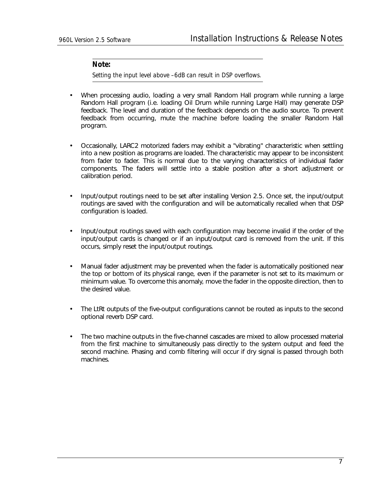### *Note:*

*Setting the input level above –6dB can result in DSP overflows.*

- When processing audio, loading a very small Random Hall program while running a large Random Hall program (i.e. loading Oil Drum while running Large Hall) may generate DSP feedback. The level and duration of the feedback depends on the audio source. To prevent feedback from occurring, mute the machine before loading the smaller Random Hall program.
- Occasionally, LARC2 motorized faders may exhibit a "vibrating" characteristic when settling into a new position as programs are loaded. The characteristic may appear to be inconsistent from fader to fader. This is normal due to the varying characteristics of individual fader components. The faders will settle into a stable position after a short adjustment or calibration period.
- Input/output routings need to be set after installing Version 2.5. Once set, the input/output routings are saved with the configuration and will be automatically recalled when that DSP configuration is loaded.
- Input/output routings saved with each configuration may become invalid if the order of the input/output cards is changed or if an input/output card is removed from the unit. If this occurs, simply reset the input/output routings.
- Manual fader adjustment may be prevented when the fader is automatically positioned near the top or bottom of its physical range, even if the parameter is not set to its maximum or minimum value. To overcome this anomaly, move the fader in the opposite direction, then to the desired value.
- The LtRt outputs of the five-output configurations cannot be routed as inputs to the second optional reverb DSP card.
- The two machine outputs in the five-channel cascades are mixed to allow processed material from the first machine to simultaneously pass directly to the system output and feed the second machine. Phasing and comb filtering will occur if dry signal is passed through both machines.